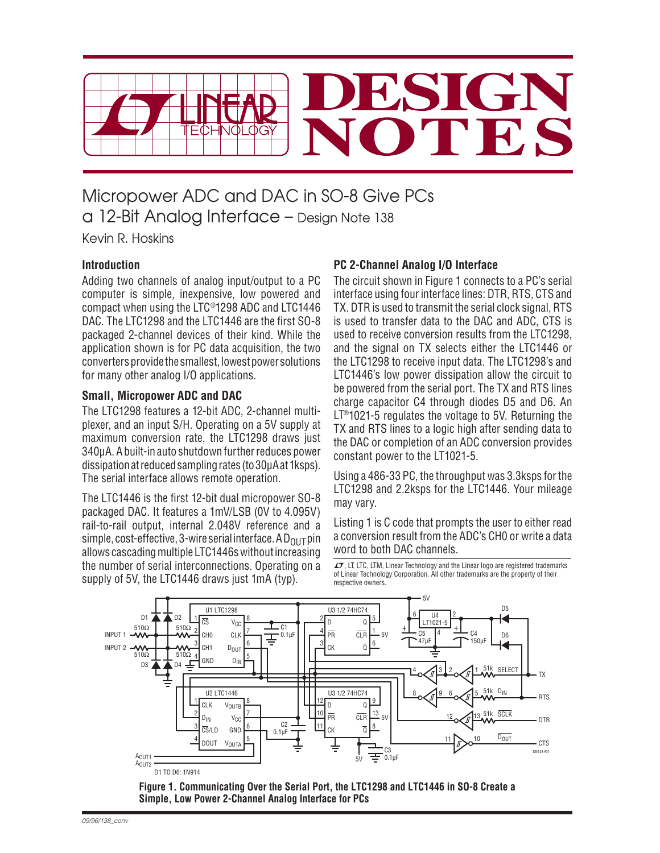

# Micropower ADC and DAC in SO-8 Give PCs a 12-Bit Analog Interface – Design Note 138

Kevin R. Hoskins

# **Introduction**

Adding two channels of analog input/output to a PC computer is simple, inexpensive, low powered and compact when using the LTC®1298 ADC and LTC1446 DAC. The LTC1298 and the LTC1446 are the first SO-8 packaged 2-channel devices of their kind. While the application shown is for PC data acquisition, the two converters provide the smallest, lowest power solutions for many other analog I/O applications.

## **Small, Micropower ADC and DAC**

The LTC1298 features a 12-bit ADC, 2-channel multiplexer, and an input S/H. Operating on a 5V supply at maximum conversion rate, the LTC1298 draws just 340μA. A built-in auto shutdown further reduces power dissipation at reduced sampling rates (to 30μA at 1ksps). The serial interface allows remote operation.

The LTC1446 is the first 12-bit dual micropower SO-8 packaged DAC. It features a 1mV/LSB (0V to 4.095V) rail-to-rail output, internal 2.048V reference and a simple, cost-effective, 3-wire serial interface. A  $D_{OUT}$  pin allows cascading multiple LTC1446s without increasing the number of serial interconnections. Operating on a supply of 5V, the LTC1446 draws just 1mA (typ).

# **PC 2-Channel Analog I/O Interface**

The circuit shown in Figure 1 connects to a PC's serial interface using four interface lines: DTR, RTS, CTS and TX. DTR is used to transmit the serial clock signal, RTS is used to transfer data to the DAC and ADC, CTS is used to receive conversion results from the LTC1298, and the signal on TX selects either the LTC1446 or the LTC1298 to receive input data. The LTC1298's and LTC1446's low power dissipation allow the circuit to be powered from the serial port. The TX and RTS lines charge capacitor C4 through diodes D5 and D6. An LT®1021-5 regulates the voltage to 5V. Returning the TX and RTS lines to a logic high after sending data to the DAC or completion of an ADC conversion provides constant power to the LT1021-5.

Using a 486-33 PC, the throughput was 3.3ksps for the LTC1298 and 2.2ksps for the LTC1446. Your mileage may vary.

Listing 1 is C code that prompts the user to either read a conversion result from the ADC's CH0 or write a data word to both DAC channels.

 $\overline{\mathcal{L} \mathcal{F}}$ . LT, LTC, LTM, Linear Technology and the Linear logo are registered trademarks of Linear Technology Corporation. All other trademarks are the property of their respective owners.



**Figure 1. Communicating Over the Serial Port, the LTC1298 and LTC1446 in SO-8 Create a Simple, Low Power 2-Channel Analog Interface for PCs**